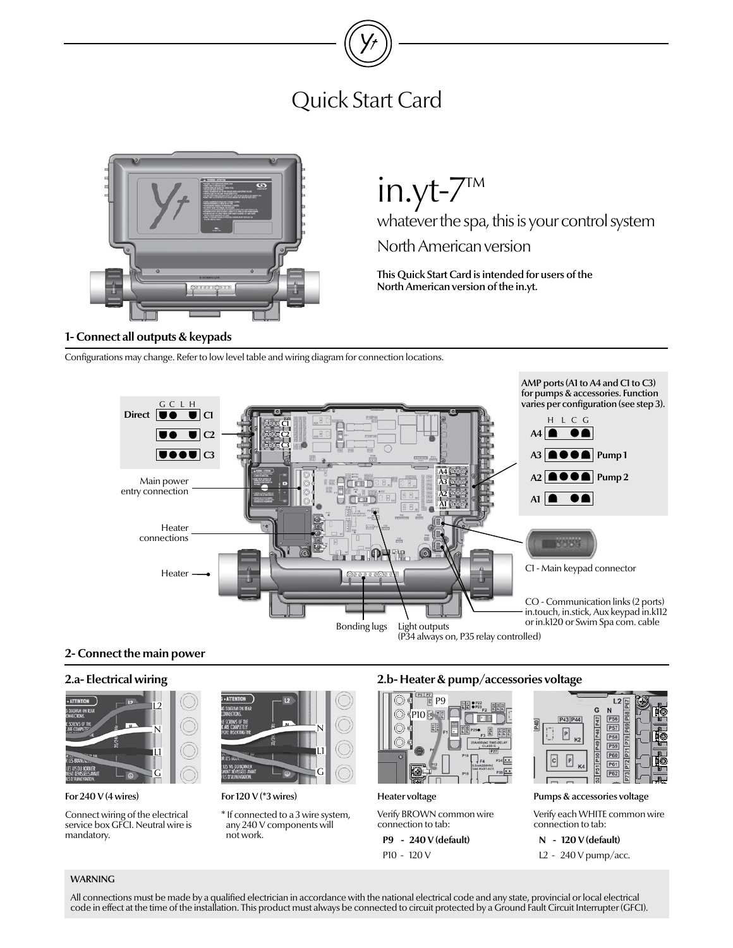# Quick Start Card



## **1- Connect all outputs & keypads**

in.yt-7™

whatever the spa, this is your control system

North American version

This Quick Start Card is intended for users of the North American version of the in.yt.

Configurations may change. Refer to low level table and wiring diagram for connection locations.



## **2- Connect the main power**

## **2.a- Electrical wiring**



#### For 240 V (4 wires)

Connect wiring of the electrical service box GFCI. Neutral wire is mandatory.



For 120 V (\*3 wires)

\* If connected to a 3 wire system, any 240 V components will not work.

# **2.b- Heater & pump/accessories voltage**



Heater voltage

Verify BROWN common wire connection to tab:

**P9 - 240 V (default)** P10 - 120 V



Pumps & accessories voltage

Verify each WHITE common wire connection to tab:

**N - 120 V (default)**

L2 - 240 V pump/acc.

## WARNING

All connections must be made by a qualified electrician in accordance with the national electrical code and any state, provincial or local electrical code in effect at the time of the installation. This product must always be connected to circuit protected by a Ground Fault Circuit Interrupter (GFCI).